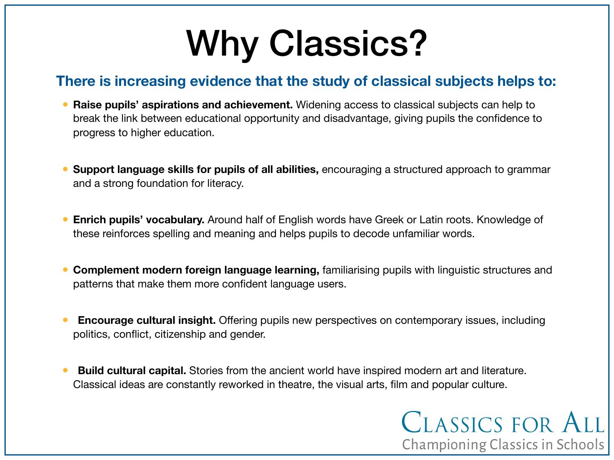# Why Classics?

#### **There is increasing evidence that the study of classical subjects helps to:**

- **Raise pupils' aspirations and achievement.** Widening access to classical subjects can help to break the link between educational opportunity and disadvantage, giving pupils the confidence to progress to higher education.
- **Support language skills for pupils of all abilities,** encouraging a structured approach to grammar and a strong foundation for literacy.
- **Enrich pupils' vocabulary.** Around half of English words have Greek or Latin roots. Knowledge of these reinforces spelling and meaning and helps pupils to decode unfamiliar words.
- **Complement modern foreign language learning,** familiarising pupils with linguistic structures and patterns that make them more confident language users.
- **Encourage cultural insight.** Offering pupils new perspectives on contemporary issues, including politics, conflict, citizenship and gender.
- **Build cultural capital.** Stories from the ancient world have inspired modern art and literature. Classical ideas are constantly reworked in theatre, the visual arts, film and popular culture.

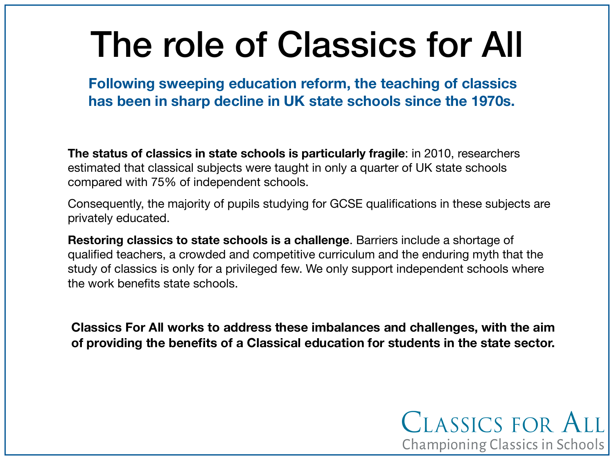# The role of Classics for All

**Following sweeping education reform, the teaching of classics has been in sharp decline in UK state schools since the 1970s.** 

**The status of classics in state schools is particularly fragile**: in 2010, researchers estimated that classical subjects were taught in only a quarter of UK state schools compared with 75% of independent schools.

Consequently, the majority of pupils studying for GCSE qualifications in these subjects are privately educated.

**Restoring classics to state schools is a challenge**. Barriers include a shortage of qualified teachers, a crowded and competitive curriculum and the enduring myth that the study of classics is only for a privileged few. We only support independent schools where the work benefits state schools.

**Classics For All works to address these imbalances and challenges, with the aim of providing the benefits of a Classical education for students in the state sector.**

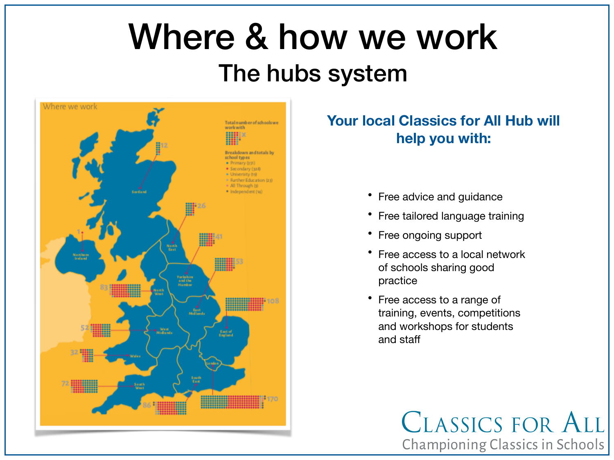## Where & how we work The hubs system



#### **Your local Classics for All Hub will help you with:**

- Free advice and guidance
- Free tailored language training
- Free ongoing support
- Free access to a local network of schools sharing good practice
- Free access to a range of training, events, competitions and workshops for students and staff

CLASSICS FOR ALL Championing Classics in Schools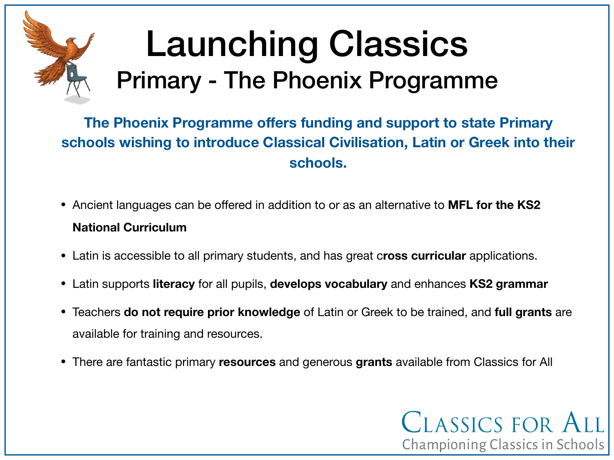## Launching Classics Primary - The Phoenix Programme

**The Phoenix Programme offers funding and support to state Primary schools wishing to introduce Classical Civilisation, Latin or Greek into their schools.** 

- Ancient languages can be offered in addition to or as an alternative to **MFL for the KS2 National Curriculum**
- Latin is accessible to all primary students, and has great c**ross curricular** applications.
- Latin supports **literacy** for all pupils, **develops vocabulary** and enhances **KS2 grammar**
- Teachers **do not require prior knowledge** of Latin or Greek to be trained, and **full grants** are available for training and resources.
- There are fantastic primary **resources** and generous **grants** available from Classics for All

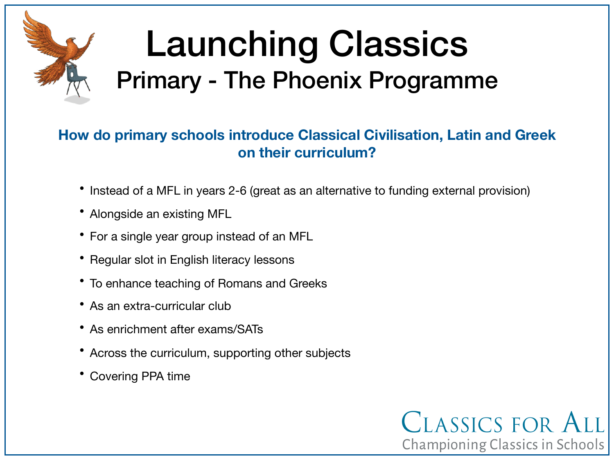

## Launching Classics Primary - The Phoenix Programme

#### **How do primary schools introduce Classical Civilisation, Latin and Greek on their curriculum?**

- Instead of a MFL in years 2-6 (great as an alternative to funding external provision)
- Alongside an existing MFL
- For a single year group instead of an MFL
- Regular slot in English literacy lessons
- To enhance teaching of Romans and Greeks
- As an extra-curricular club
- As enrichment after exams/SATs
- Across the curriculum, supporting other subjects
- Covering PPA time

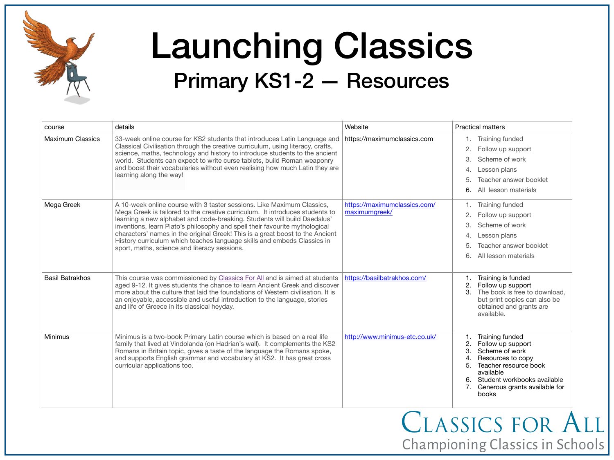

### Launching Classics Primary KS1-2 — Resources

| course                  | details                                                                                                                                                                                                                                                                                                                                                                                                                                                                                                                       | Website                                       | <b>Practical matters</b>                                                                                                                                                                                                                    |
|-------------------------|-------------------------------------------------------------------------------------------------------------------------------------------------------------------------------------------------------------------------------------------------------------------------------------------------------------------------------------------------------------------------------------------------------------------------------------------------------------------------------------------------------------------------------|-----------------------------------------------|---------------------------------------------------------------------------------------------------------------------------------------------------------------------------------------------------------------------------------------------|
| <b>Maximum Classics</b> | 33-week online course for KS2 students that introduces Latin Language and<br>Classical Civilisation through the creative curriculum, using literacy, crafts,<br>science, maths, technology and history to introduce students to the ancient<br>world. Students can expect to write curse tablets, build Roman weaponry<br>and boost their vocabularies without even realising how much Latin they are<br>learning along the way!                                                                                              | https://maximumclassics.com                   | 1. Training funded<br>$\mathbf{2}$<br>Follow up support<br>3.<br>Scheme of work<br>Lesson plans<br>4.<br>5<br>Teacher answer booklet<br>6.<br>All lesson materials                                                                          |
| Mega Greek              | A 10-week online course with 3 taster sessions. Like Maximum Classics,<br>Mega Greek is tailored to the creative curriculum. It introduces students to<br>learning a new alphabet and code-breaking. Students will build Daedalus'<br>inventions, learn Plato's philosophy and spell their favourite mythological<br>characters' names in the original Greek! This is a great boost to the Ancient<br>History curriculum which teaches language skills and embeds Classics in<br>sport, maths, science and literacy sessions. | https://maximumclassics.com/<br>maximumgreek/ | Training funded<br>$\mathbf{2}$<br>Follow up support<br>Scheme of work<br>3.<br>Lesson plans<br>4.<br>Teacher answer booklet<br>5<br>6.<br>All lesson materials                                                                             |
| <b>Basil Batrakhos</b>  | This course was commissioned by Classics For All and is aimed at students<br>aged 9-12. It gives students the chance to learn Ancient Greek and discover<br>more about the culture that laid the foundations of Western civilisation. It is<br>an enjoyable, accessible and useful introduction to the language, stories<br>and life of Greece in its classical heyday.                                                                                                                                                       | https://basilbatrakhos.com/                   | Training is funded<br>2.<br>Follow up support<br>3.<br>The book is free to download,<br>but print copies can also be<br>obtained and grants are<br>available.                                                                               |
| Minimus                 | Minimus is a two-book Primary Latin course which is based on a real life<br>family that lived at Vindolanda (on Hadrian's wall). It complements the KS2<br>Romans in Britain topic, gives a taste of the language the Romans spoke,<br>and supports English grammar and vocabulary at KS2. It has great cross<br>curricular applications too.                                                                                                                                                                                 | http://www.minimus-etc.co.uk/                 | <b>Training funded</b><br>Follow up support<br>3.<br>Scheme of work<br>$\overline{4}$<br>Resources to copy<br>5.<br>Teacher resource book<br>available<br>Student workbooks available<br>6.<br>7.<br>Generous grants available for<br>books |

CLASSICS FOR ALL Championing Classics in Schools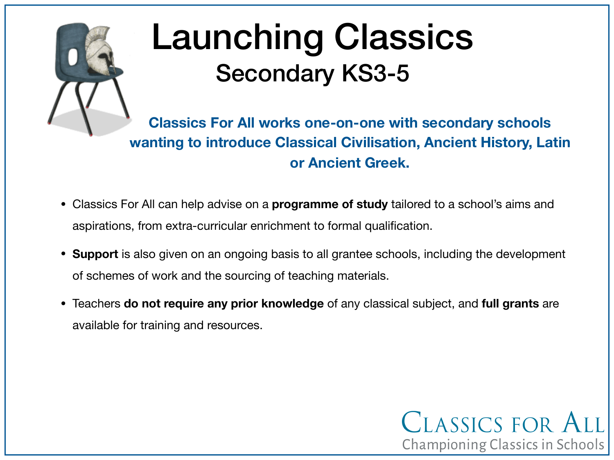

## Launching Classics Secondary KS3-5

**Classics For All works one-on-one with secondary schools wanting to introduce Classical Civilisation, Ancient History, Latin or Ancient Greek.** 

CLASSICS FOR ALL

Championing Classics in Schools

- Classics For All can help advise on a **programme of study** tailored to a school's aims and aspirations, from extra-curricular enrichment to formal qualification.
- **Support** is also given on an ongoing basis to all grantee schools, including the development of schemes of work and the sourcing of teaching materials.
- Teachers **do not require any prior knowledge** of any classical subject, and **full grants** are available for training and resources.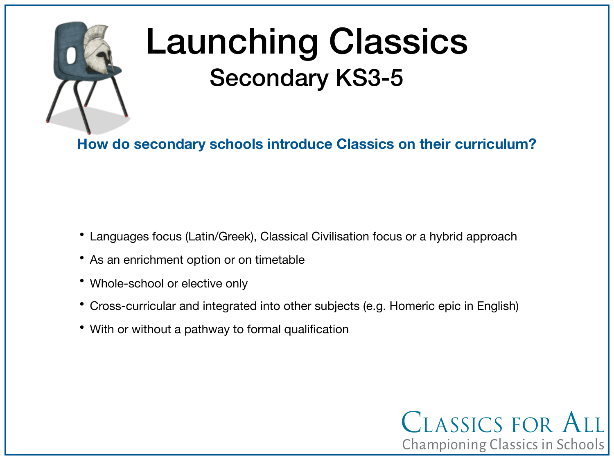

## Launching Classics Secondary KS3-5

**How do secondary schools introduce Classics on their curriculum?**

- Languages focus (Latin/Greek), Classical Civilisation focus or a hybrid approach
- As an enrichment option or on timetable
- Whole-school or elective only
- Cross-curricular and integrated into other subjects (e.g. Homeric epic in English)

CLASSICS FOR ALL

Championing Classics in Schools

• With or without a pathway to formal qualification